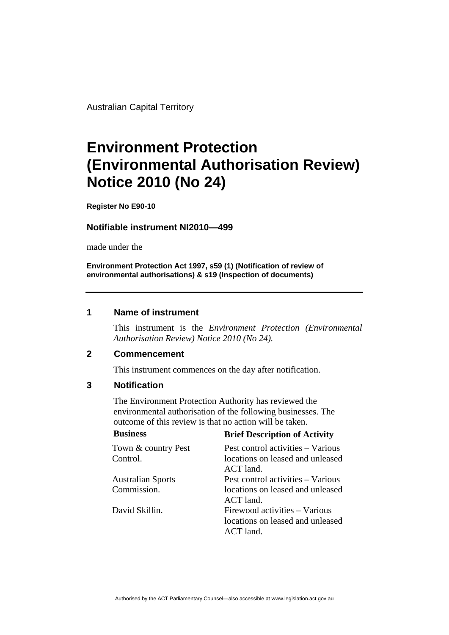Australian Capital Territory

# **Environment Protection (Environmental Authorisation Review) Notice 2010 (No 24)**

**Register No E90-10**

#### **Notifiable instrument NI2010—499**

made under the

**Environment Protection Act 1997, s59 (1) (Notification of review of environmental authorisations) & s19 (Inspection of documents)**

### **1 Name of instrument**

This instrument is the *Environment Protection (Environmental Authorisation Review) Notice 2010 (No 24).* 

#### **2 Commencement**

This instrument commences on the day after notification.

## **3 Notification**

The Environment Protection Authority has reviewed the environmental authorisation of the following businesses. The outcome of this review is that no action will be taken. **Business Brief Description of Activity** 

| римнем                   | <b>Brief Description of Activity</b> |
|--------------------------|--------------------------------------|
| Town & country Pest      | Pest control activities - Various    |
| Control.                 | locations on leased and unleased     |
|                          | ACT land.                            |
| <b>Australian Sports</b> | Pest control activities – Various    |
| Commission.              | locations on leased and unleased     |
|                          | ACT land.                            |
| David Skillin.           | Firewood activities – Various        |
|                          | locations on leased and unleased     |
|                          | ACT land.                            |